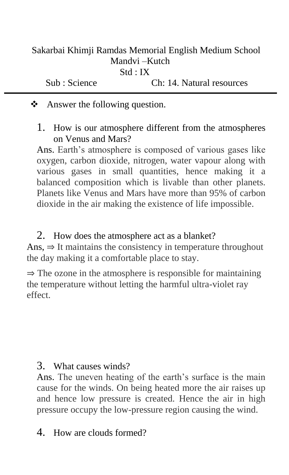| Sakarbai Khimji Ramdas Memorial English Medium School |                           |
|-------------------------------------------------------|---------------------------|
| Mandyi – Kutch                                        |                           |
| Std : IX                                              |                           |
| Sub : Science                                         | Ch: 14. Natural resources |

**❖** Answer the following question.

1. How is our atmosphere different from the atmospheres on Venus and Mars?

Ans. Earth's atmosphere is composed of various gases like oxygen, carbon dioxide, nitrogen, water vapour along with various gases in small quantities, hence making it a balanced composition which is livable than other planets. Planets like Venus and Mars have more than 95% of carbon dioxide in the air making the existence of life impossible.

2. How does the atmosphere act as a blanket? Ans,  $\Rightarrow$  It maintains the consistency in temperature throughout the day making it a comfortable place to stay.

 $\Rightarrow$  The ozone in the atmosphere is responsible for maintaining the temperature without letting the harmful ultra-violet ray effect.

3. What causes winds?

Ans. The uneven heating of the earth's surface is the main cause for the winds. On being heated more the air raises up and hence low pressure is created. Hence the air in high pressure occupy the low-pressure region causing the wind.

4. How are clouds formed?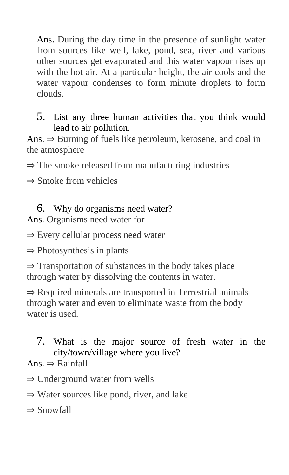Ans. During the day time in the presence of sunlight water from sources like well, lake, pond, sea, river and various other sources get evaporated and this water vapour rises up with the hot air. At a particular height, the air cools and the water vapour condenses to form minute droplets to form clouds.

## 5. List any three human activities that you think would lead to air pollution.

Ans. ⇒ Burning of fuels like petroleum, kerosene, and coal in the atmosphere

 $\Rightarrow$  The smoke released from manufacturing industries

 $\Rightarrow$  Smoke from vehicles

## 6. Why do organisms need water?

Ans. Organisms need water for

⇒ Every cellular process need water

⇒ Photosynthesis in plants

⇒ Transportation of substances in the body takes place through water by dissolving the contents in water.

⇒ Required minerals are transported in Terrestrial animals through water and even to eliminate waste from the body water is used.

7. What is the major source of fresh water in the city/town/village where you live?

Ans.  $\Rightarrow$  Rainfall

- ⇒ Underground water from wells
- ⇒ Water sources like pond, river, and lake

⇒ Snowfall